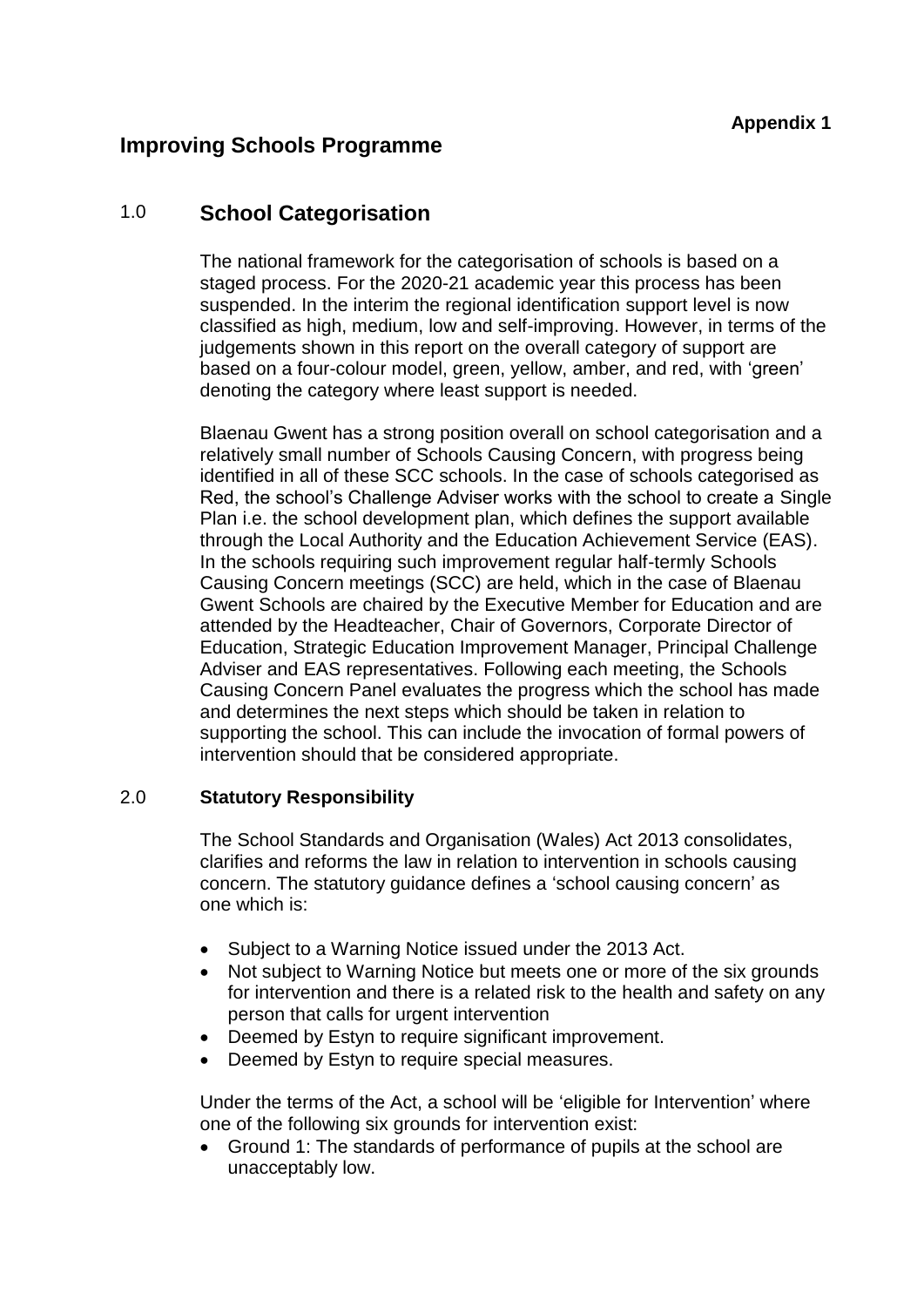# **Improving Schools Programme**

# 1.0 **School Categorisation**

The national framework for the categorisation of schools is based on a staged process. For the 2020-21 academic year this process has been suspended. In the interim the regional identification support level is now classified as high, medium, low and self-improving. However, in terms of the judgements shown in this report on the overall category of support are based on a four-colour model, green, yellow, amber, and red, with 'green' denoting the category where least support is needed.

Blaenau Gwent has a strong position overall on school categorisation and a relatively small number of Schools Causing Concern, with progress being identified in all of these SCC schools. In the case of schools categorised as Red, the school's Challenge Adviser works with the school to create a Single Plan i.e. the school development plan, which defines the support available through the Local Authority and the Education Achievement Service (EAS). In the schools requiring such improvement regular half-termly Schools Causing Concern meetings (SCC) are held, which in the case of Blaenau Gwent Schools are chaired by the Executive Member for Education and are attended by the Headteacher, Chair of Governors, Corporate Director of Education, Strategic Education Improvement Manager, Principal Challenge Adviser and EAS representatives. Following each meeting, the Schools Causing Concern Panel evaluates the progress which the school has made and determines the next steps which should be taken in relation to supporting the school. This can include the invocation of formal powers of intervention should that be considered appropriate.

### 2.0 **Statutory Responsibility**

The School Standards and Organisation (Wales) Act 2013 consolidates, clarifies and reforms the law in relation to intervention in schools causing concern. The statutory guidance defines a 'school causing concern' as one which is:

- Subject to a Warning Notice issued under the 2013 Act.
- Not subject to Warning Notice but meets one or more of the six grounds for intervention and there is a related risk to the health and safety on any person that calls for urgent intervention
- Deemed by Estyn to require significant improvement.
- Deemed by Estyn to require special measures.

Under the terms of the Act, a school will be 'eligible for Intervention' where one of the following six grounds for intervention exist:

 Ground 1: The standards of performance of pupils at the school are unacceptably low.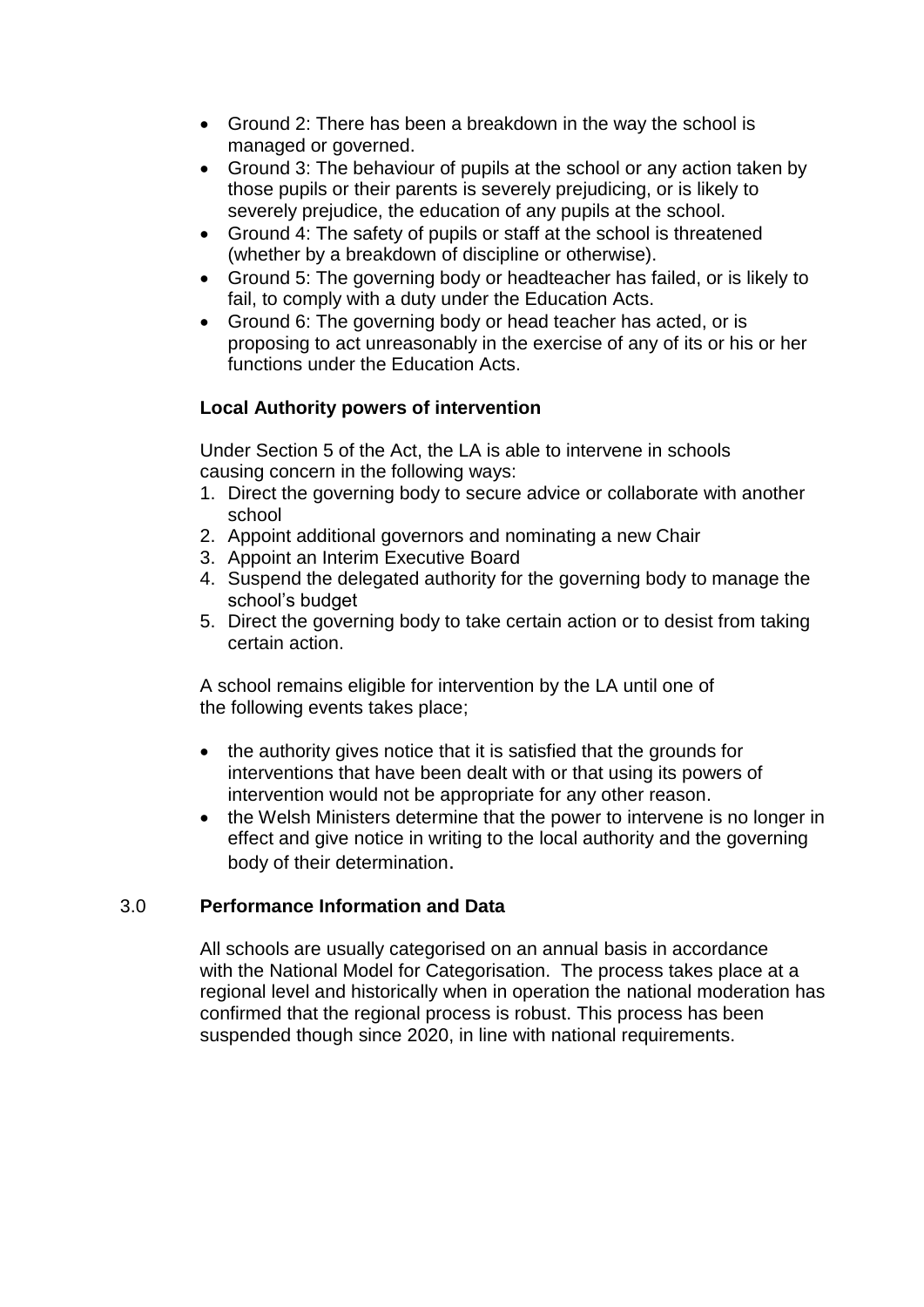- Ground 2: There has been a breakdown in the way the school is managed or governed.
- Ground 3: The behaviour of pupils at the school or any action taken by those pupils or their parents is severely prejudicing, or is likely to severely prejudice, the education of any pupils at the school.
- Ground 4: The safety of pupils or staff at the school is threatened (whether by a breakdown of discipline or otherwise).
- Ground 5: The governing body or headteacher has failed, or is likely to fail, to comply with a duty under the Education Acts.
- Ground 6: The governing body or head teacher has acted, or is proposing to act unreasonably in the exercise of any of its or his or her functions under the Education Acts.

## **Local Authority powers of intervention**

Under Section 5 of the Act, the LA is able to intervene in schools causing concern in the following ways:

- 1. Direct the governing body to secure advice or collaborate with another school
- 2. Appoint additional governors and nominating a new Chair
- 3. Appoint an Interim Executive Board
- 4. Suspend the delegated authority for the governing body to manage the school's budget
- 5. Direct the governing body to take certain action or to desist from taking certain action.

A school remains eligible for intervention by the LA until one of the following events takes place;

- the authority gives notice that it is satisfied that the grounds for interventions that have been dealt with or that using its powers of intervention would not be appropriate for any other reason.
- the Welsh Ministers determine that the power to intervene is no longer in effect and give notice in writing to the local authority and the governing body of their determination.

## 3.0 **Performance Information and Data**

All schools are usually categorised on an annual basis in accordance with the National Model for Categorisation. The process takes place at a regional level and historically when in operation the national moderation has confirmed that the regional process is robust. This process has been suspended though since 2020, in line with national requirements.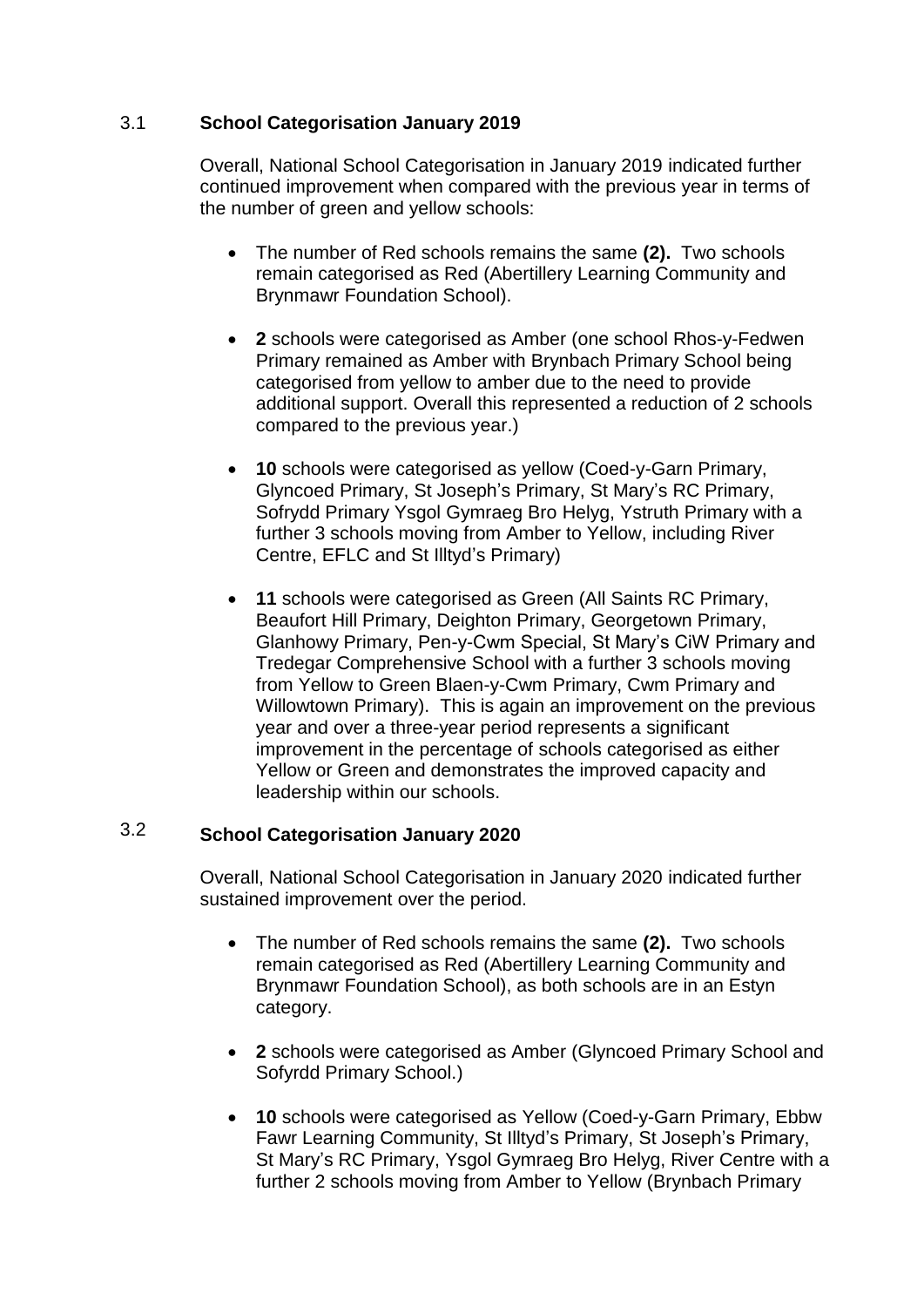#### 3.1 **School Categorisation January 2019**

Overall, National School Categorisation in January 2019 indicated further continued improvement when compared with the previous year in terms of the number of green and yellow schools:

- The number of Red schools remains the same **(2).** Two schools remain categorised as Red (Abertillery Learning Community and Brynmawr Foundation School).
- **2** schools were categorised as Amber (one school Rhos-y-Fedwen Primary remained as Amber with Brynbach Primary School being categorised from yellow to amber due to the need to provide additional support. Overall this represented a reduction of 2 schools compared to the previous year.)
- **10** schools were categorised as yellow (Coed-y-Garn Primary, Glyncoed Primary, St Joseph's Primary, St Mary's RC Primary, Sofrydd Primary Ysgol Gymraeg Bro Helyg, Ystruth Primary with a further 3 schools moving from Amber to Yellow, including River Centre, EFLC and St Illtyd's Primary)
- **11** schools were categorised as Green (All Saints RC Primary, Beaufort Hill Primary, Deighton Primary, Georgetown Primary, Glanhowy Primary, Pen-y-Cwm Special, St Mary's CiW Primary and Tredegar Comprehensive School with a further 3 schools moving from Yellow to Green Blaen-y-Cwm Primary, Cwm Primary and Willowtown Primary). This is again an improvement on the previous year and over a three-year period represents a significant improvement in the percentage of schools categorised as either Yellow or Green and demonstrates the improved capacity and leadership within our schools.

### 3.2 **School Categorisation January 2020**

Overall, National School Categorisation in January 2020 indicated further sustained improvement over the period.

- The number of Red schools remains the same **(2).** Two schools remain categorised as Red (Abertillery Learning Community and Brynmawr Foundation School), as both schools are in an Estyn category.
- **2** schools were categorised as Amber (Glyncoed Primary School and Sofyrdd Primary School.)
- **10** schools were categorised as Yellow (Coed-y-Garn Primary, Ebbw Fawr Learning Community, St Illtyd's Primary, St Joseph's Primary, St Mary's RC Primary, Ysgol Gymraeg Bro Helyg, River Centre with a further 2 schools moving from Amber to Yellow (Brynbach Primary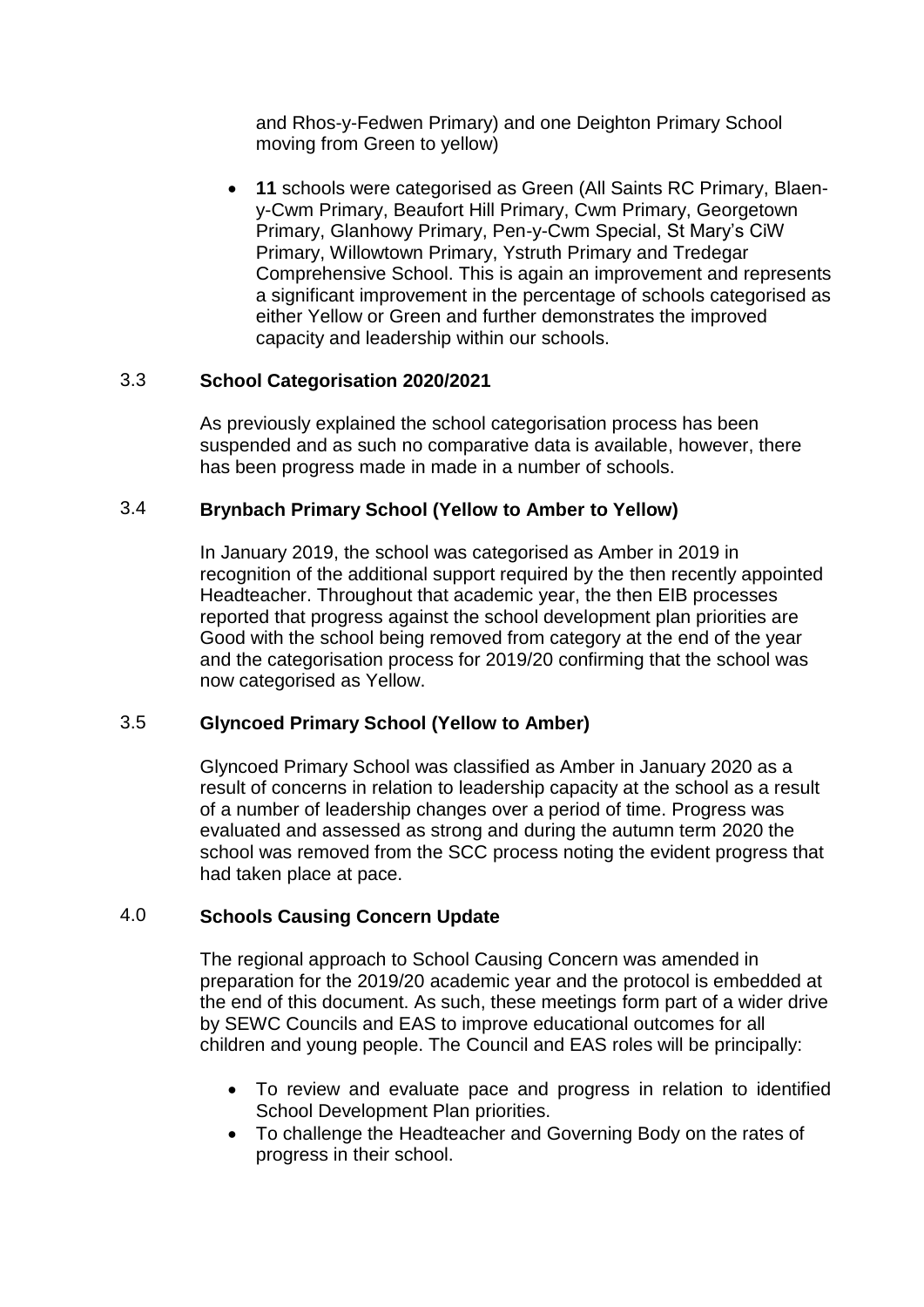and Rhos-y-Fedwen Primary) and one Deighton Primary School moving from Green to yellow)

 **11** schools were categorised as Green (All Saints RC Primary, Blaeny-Cwm Primary, Beaufort Hill Primary, Cwm Primary, Georgetown Primary, Glanhowy Primary, Pen-y-Cwm Special, St Mary's CiW Primary, Willowtown Primary, Ystruth Primary and Tredegar Comprehensive School. This is again an improvement and represents a significant improvement in the percentage of schools categorised as either Yellow or Green and further demonstrates the improved capacity and leadership within our schools.

#### 3.3 **School Categorisation 2020/2021**

As previously explained the school categorisation process has been suspended and as such no comparative data is available, however, there has been progress made in made in a number of schools.

#### 3.4 **Brynbach Primary School (Yellow to Amber to Yellow)**

In January 2019, the school was categorised as Amber in 2019 in recognition of the additional support required by the then recently appointed Headteacher. Throughout that academic year, the then EIB processes reported that progress against the school development plan priorities are Good with the school being removed from category at the end of the year and the categorisation process for 2019/20 confirming that the school was now categorised as Yellow.

#### 3.5 **Glyncoed Primary School (Yellow to Amber)**

Glyncoed Primary School was classified as Amber in January 2020 as a result of concerns in relation to leadership capacity at the school as a result of a number of leadership changes over a period of time. Progress was evaluated and assessed as strong and during the autumn term 2020 the school was removed from the SCC process noting the evident progress that had taken place at pace.

#### 4.0 **Schools Causing Concern Update**

The regional approach to School Causing Concern was amended in preparation for the 2019/20 academic year and the protocol is embedded at the end of this document. As such, these meetings form part of a wider drive by SEWC Councils and EAS to improve educational outcomes for all children and young people. The Council and EAS roles will be principally:

- To review and evaluate pace and progress in relation to identified School Development Plan priorities.
- To challenge the Headteacher and Governing Body on the rates of progress in their school.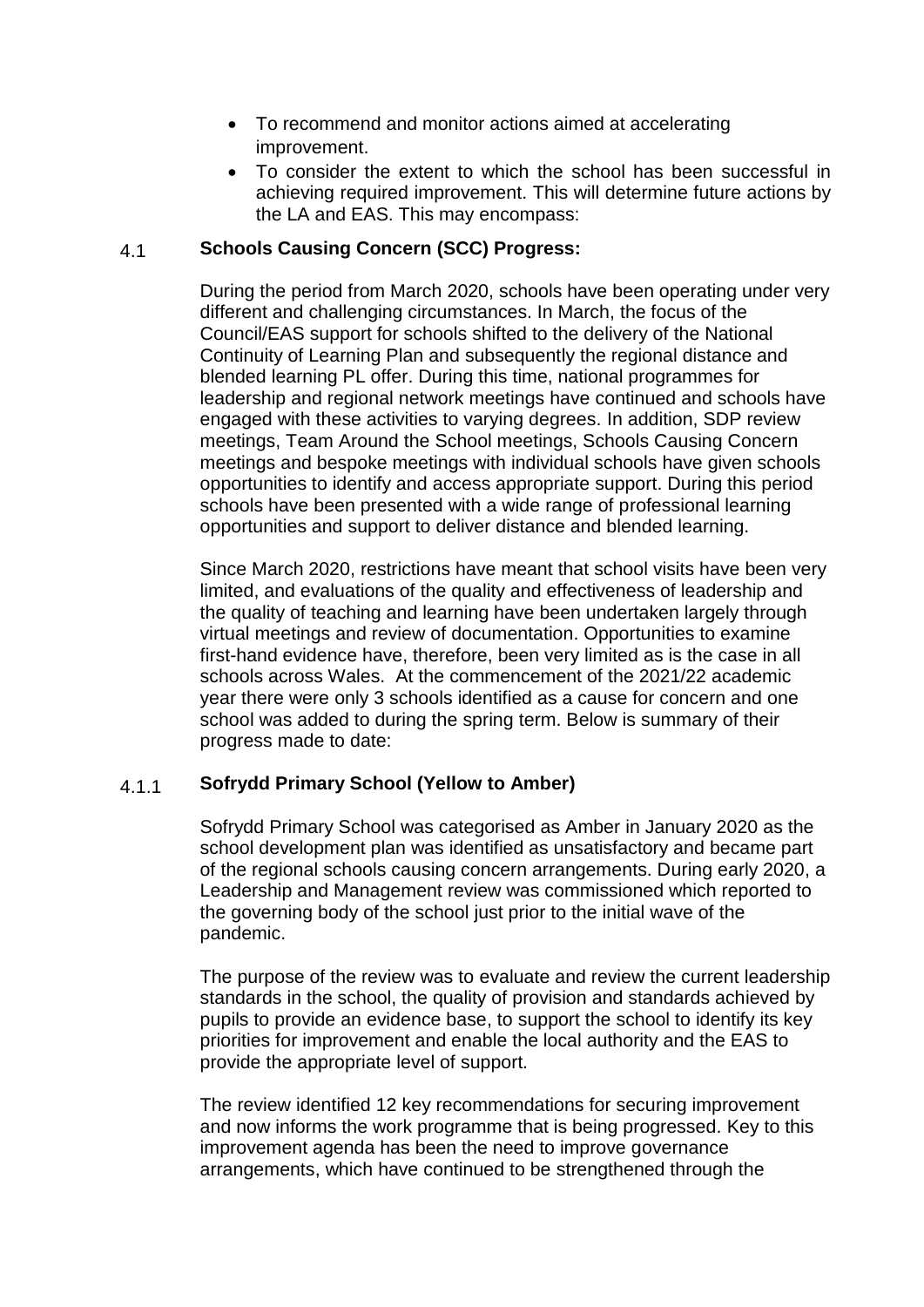- To recommend and monitor actions aimed at accelerating improvement.
- To consider the extent to which the school has been successful in achieving required improvement. This will determine future actions by the LA and EAS. This may encompass:

#### 4.1 **Schools Causing Concern (SCC) Progress:**

During the period from March 2020, schools have been operating under very different and challenging circumstances. In March, the focus of the Council/EAS support for schools shifted to the delivery of the National Continuity of Learning Plan and subsequently the regional distance and blended learning PL offer. During this time, national programmes for leadership and regional network meetings have continued and schools have engaged with these activities to varying degrees. In addition, SDP review meetings, Team Around the School meetings, Schools Causing Concern meetings and bespoke meetings with individual schools have given schools opportunities to identify and access appropriate support. During this period schools have been presented with a wide range of professional learning opportunities and support to deliver distance and blended learning.

Since March 2020, restrictions have meant that school visits have been very limited, and evaluations of the quality and effectiveness of leadership and the quality of teaching and learning have been undertaken largely through virtual meetings and review of documentation. Opportunities to examine first-hand evidence have, therefore, been very limited as is the case in all schools across Wales. At the commencement of the 2021/22 academic year there were only 3 schools identified as a cause for concern and one school was added to during the spring term. Below is summary of their progress made to date:

#### 4.1.1 **Sofrydd Primary School (Yellow to Amber)**

Sofrydd Primary School was categorised as Amber in January 2020 as the school development plan was identified as unsatisfactory and became part of the regional schools causing concern arrangements. During early 2020, a Leadership and Management review was commissioned which reported to the governing body of the school just prior to the initial wave of the pandemic.

The purpose of the review was to evaluate and review the current leadership standards in the school, the quality of provision and standards achieved by pupils to provide an evidence base, to support the school to identify its key priorities for improvement and enable the local authority and the EAS to provide the appropriate level of support.

The review identified 12 key recommendations for securing improvement and now informs the work programme that is being progressed. Key to this improvement agenda has been the need to improve governance arrangements, which have continued to be strengthened through the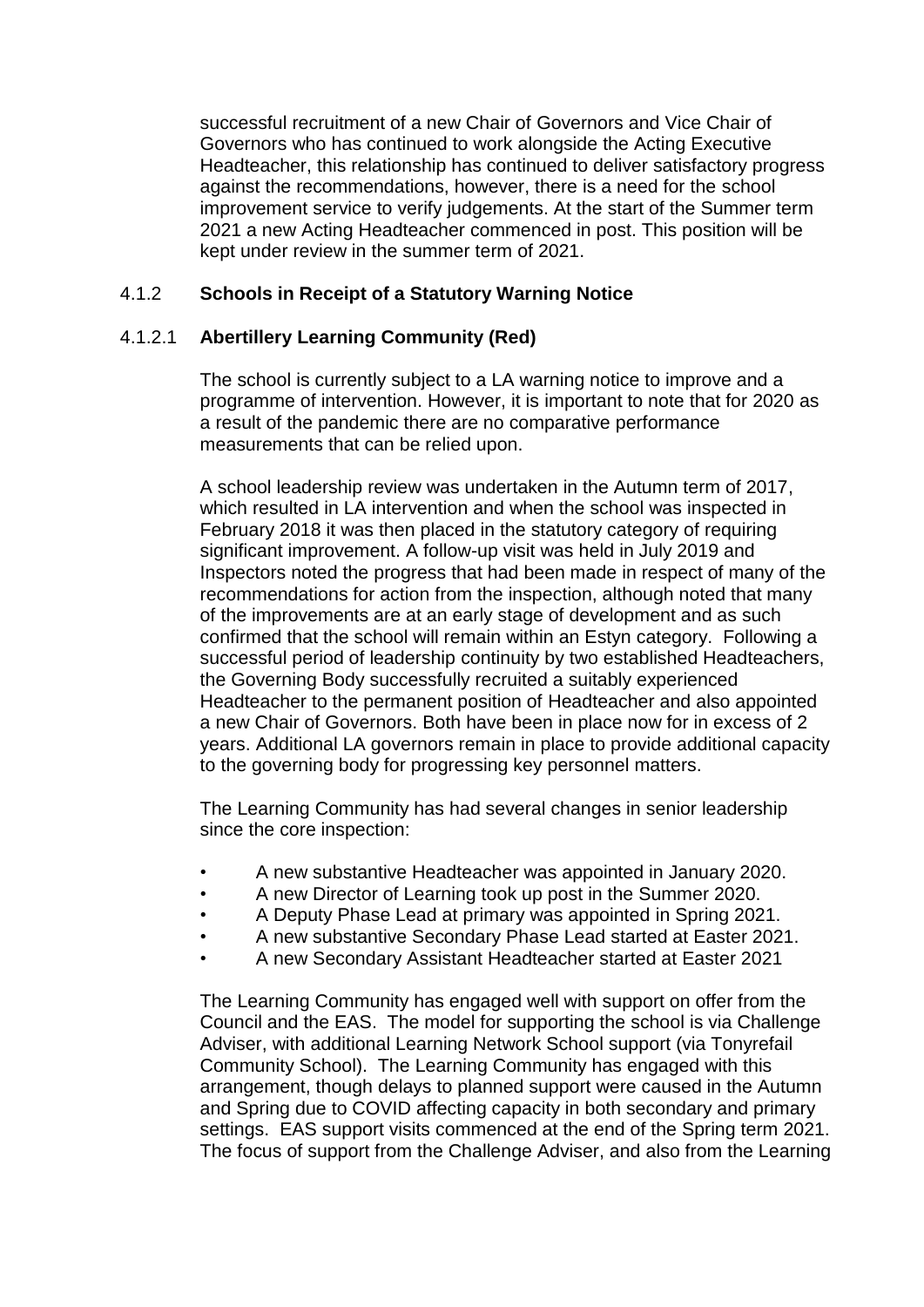successful recruitment of a new Chair of Governors and Vice Chair of Governors who has continued to work alongside the Acting Executive Headteacher, this relationship has continued to deliver satisfactory progress against the recommendations, however, there is a need for the school improvement service to verify judgements. At the start of the Summer term 2021 a new Acting Headteacher commenced in post. This position will be kept under review in the summer term of 2021.

#### 4.1.2 **Schools in Receipt of a Statutory Warning Notice**

#### 4.1.2.1 **Abertillery Learning Community (Red)**

The school is currently subject to a LA warning notice to improve and a programme of intervention. However, it is important to note that for 2020 as a result of the pandemic there are no comparative performance measurements that can be relied upon.

A school leadership review was undertaken in the Autumn term of 2017, which resulted in LA intervention and when the school was inspected in February 2018 it was then placed in the statutory category of requiring significant improvement. A follow-up visit was held in July 2019 and Inspectors noted the progress that had been made in respect of many of the recommendations for action from the inspection, although noted that many of the improvements are at an early stage of development and as such confirmed that the school will remain within an Estyn category. Following a successful period of leadership continuity by two established Headteachers, the Governing Body successfully recruited a suitably experienced Headteacher to the permanent position of Headteacher and also appointed a new Chair of Governors. Both have been in place now for in excess of 2 years. Additional LA governors remain in place to provide additional capacity to the governing body for progressing key personnel matters.

The Learning Community has had several changes in senior leadership since the core inspection:

- A new substantive Headteacher was appointed in January 2020.
- A new Director of Learning took up post in the Summer 2020.
- A Deputy Phase Lead at primary was appointed in Spring 2021.
- A new substantive Secondary Phase Lead started at Easter 2021.
- A new Secondary Assistant Headteacher started at Easter 2021

The Learning Community has engaged well with support on offer from the Council and the EAS. The model for supporting the school is via Challenge Adviser, with additional Learning Network School support (via Tonyrefail Community School). The Learning Community has engaged with this arrangement, though delays to planned support were caused in the Autumn and Spring due to COVID affecting capacity in both secondary and primary settings. EAS support visits commenced at the end of the Spring term 2021. The focus of support from the Challenge Adviser, and also from the Learning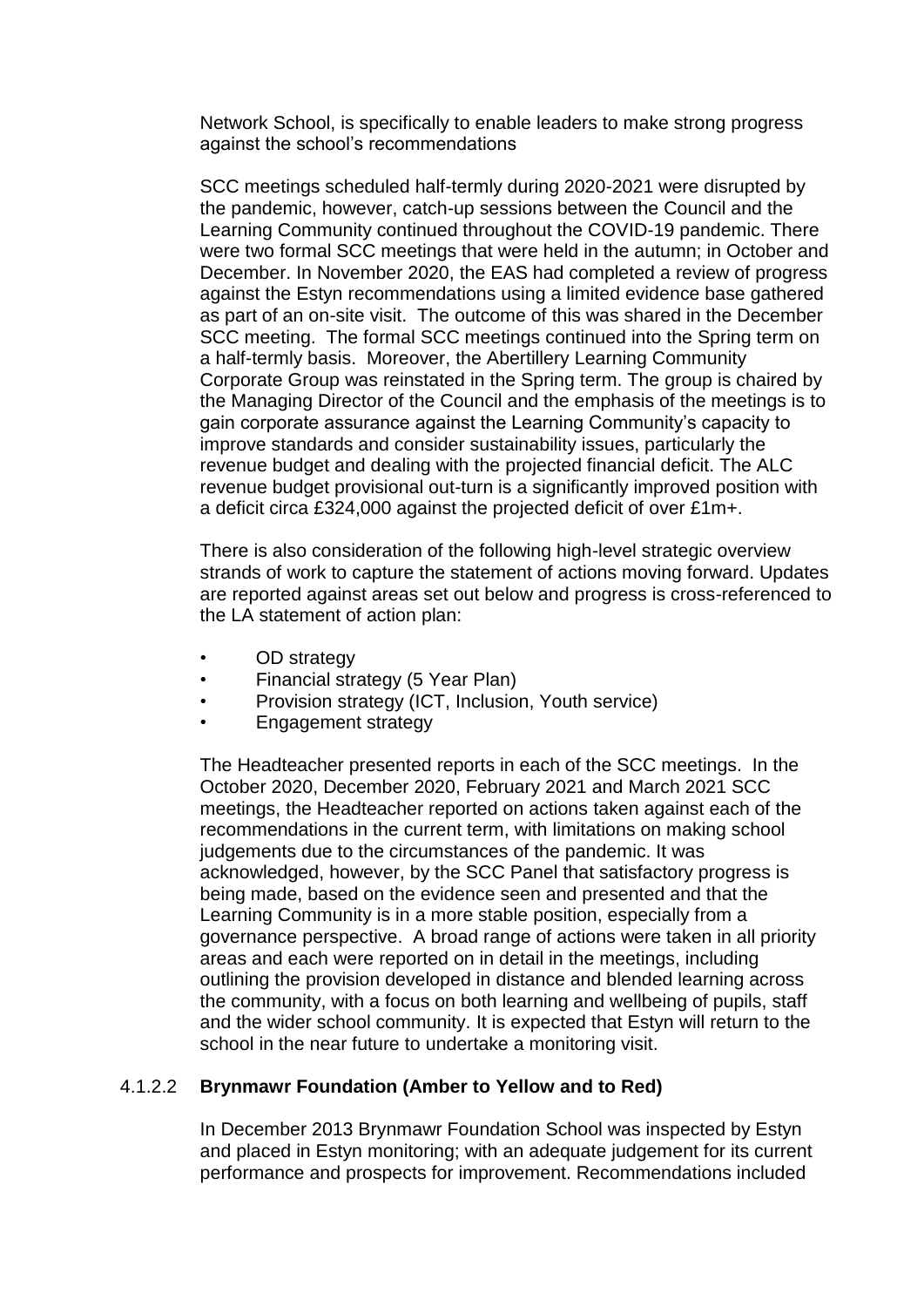Network School, is specifically to enable leaders to make strong progress against the school's recommendations

SCC meetings scheduled half-termly during 2020-2021 were disrupted by the pandemic, however, catch-up sessions between the Council and the Learning Community continued throughout the COVID-19 pandemic. There were two formal SCC meetings that were held in the autumn; in October and December. In November 2020, the EAS had completed a review of progress against the Estyn recommendations using a limited evidence base gathered as part of an on-site visit. The outcome of this was shared in the December SCC meeting. The formal SCC meetings continued into the Spring term on a half-termly basis. Moreover, the Abertillery Learning Community Corporate Group was reinstated in the Spring term. The group is chaired by the Managing Director of the Council and the emphasis of the meetings is to gain corporate assurance against the Learning Community's capacity to improve standards and consider sustainability issues, particularly the revenue budget and dealing with the projected financial deficit. The ALC revenue budget provisional out-turn is a significantly improved position with a deficit circa £324,000 against the projected deficit of over £1m+.

There is also consideration of the following high-level strategic overview strands of work to capture the statement of actions moving forward. Updates are reported against areas set out below and progress is cross-referenced to the LA statement of action plan:

- OD strategy
- Financial strategy (5 Year Plan)
- Provision strategy (ICT, Inclusion, Youth service)
- Engagement strategy

The Headteacher presented reports in each of the SCC meetings. In the October 2020, December 2020, February 2021 and March 2021 SCC meetings, the Headteacher reported on actions taken against each of the recommendations in the current term, with limitations on making school judgements due to the circumstances of the pandemic. It was acknowledged, however, by the SCC Panel that satisfactory progress is being made, based on the evidence seen and presented and that the Learning Community is in a more stable position, especially from a governance perspective. A broad range of actions were taken in all priority areas and each were reported on in detail in the meetings, including outlining the provision developed in distance and blended learning across the community, with a focus on both learning and wellbeing of pupils, staff and the wider school community. It is expected that Estyn will return to the school in the near future to undertake a monitoring visit.

#### 4.1.2.2 **Brynmawr Foundation (Amber to Yellow and to Red)**

In December 2013 Brynmawr Foundation School was inspected by Estyn and placed in Estyn monitoring; with an adequate judgement for its current performance and prospects for improvement. Recommendations included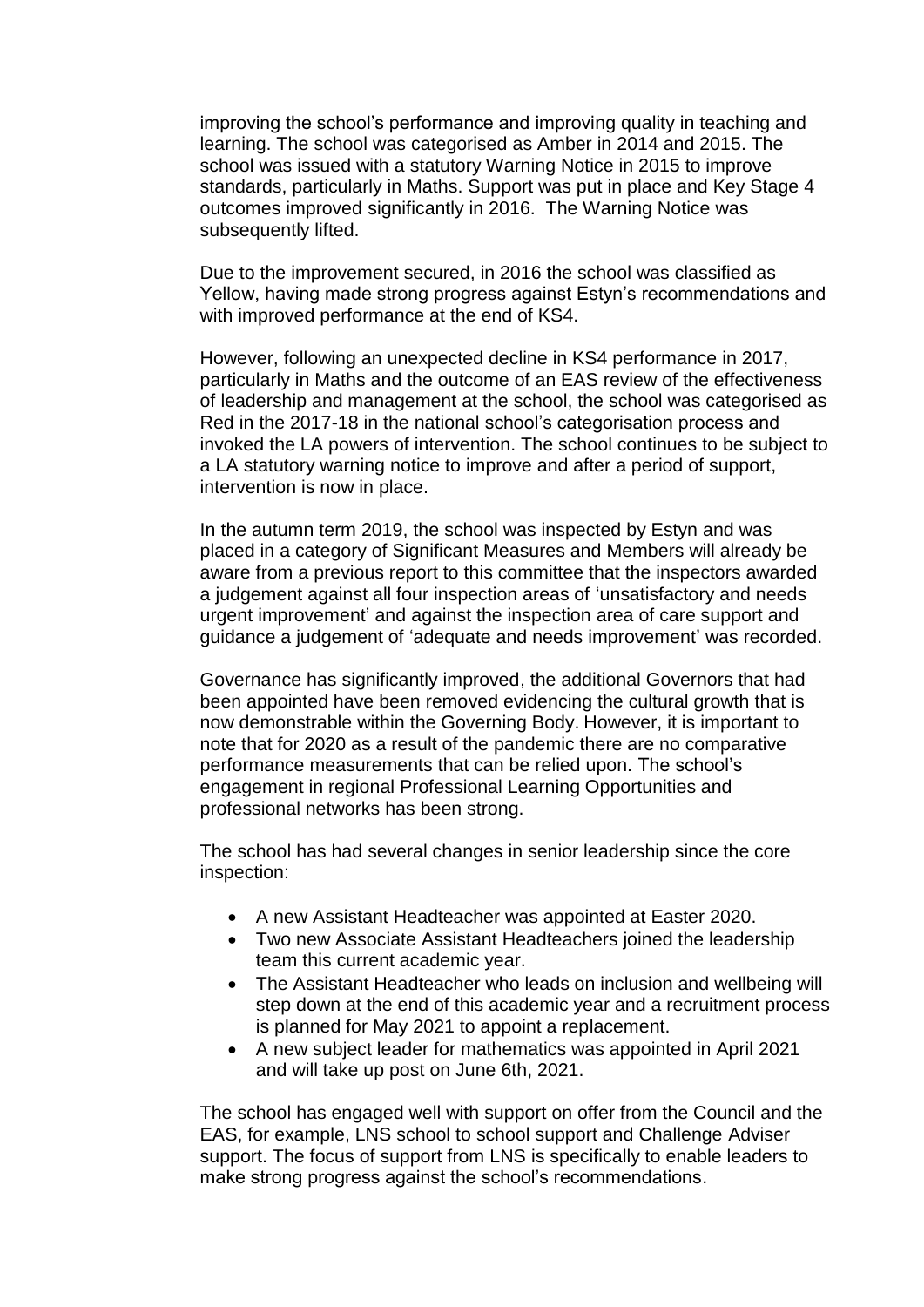improving the school's performance and improving quality in teaching and learning. The school was categorised as Amber in 2014 and 2015. The school was issued with a statutory Warning Notice in 2015 to improve standards, particularly in Maths. Support was put in place and Key Stage 4 outcomes improved significantly in 2016. The Warning Notice was subsequently lifted.

Due to the improvement secured, in 2016 the school was classified as Yellow, having made strong progress against Estyn's recommendations and with improved performance at the end of KS4.

However, following an unexpected decline in KS4 performance in 2017, particularly in Maths and the outcome of an EAS review of the effectiveness of leadership and management at the school, the school was categorised as Red in the 2017-18 in the national school's categorisation process and invoked the LA powers of intervention. The school continues to be subject to a LA statutory warning notice to improve and after a period of support, intervention is now in place.

In the autumn term 2019, the school was inspected by Estyn and was placed in a category of Significant Measures and Members will already be aware from a previous report to this committee that the inspectors awarded a judgement against all four inspection areas of 'unsatisfactory and needs urgent improvement' and against the inspection area of care support and guidance a judgement of 'adequate and needs improvement' was recorded.

Governance has significantly improved, the additional Governors that had been appointed have been removed evidencing the cultural growth that is now demonstrable within the Governing Body. However, it is important to note that for 2020 as a result of the pandemic there are no comparative performance measurements that can be relied upon. The school's engagement in regional Professional Learning Opportunities and professional networks has been strong.

The school has had several changes in senior leadership since the core inspection:

- A new Assistant Headteacher was appointed at Easter 2020.
- Two new Associate Assistant Headteachers joined the leadership team this current academic year.
- The Assistant Headteacher who leads on inclusion and wellbeing will step down at the end of this academic year and a recruitment process is planned for May 2021 to appoint a replacement.
- A new subject leader for mathematics was appointed in April 2021 and will take up post on June 6th, 2021.

The school has engaged well with support on offer from the Council and the EAS, for example, LNS school to school support and Challenge Adviser support. The focus of support from LNS is specifically to enable leaders to make strong progress against the school's recommendations.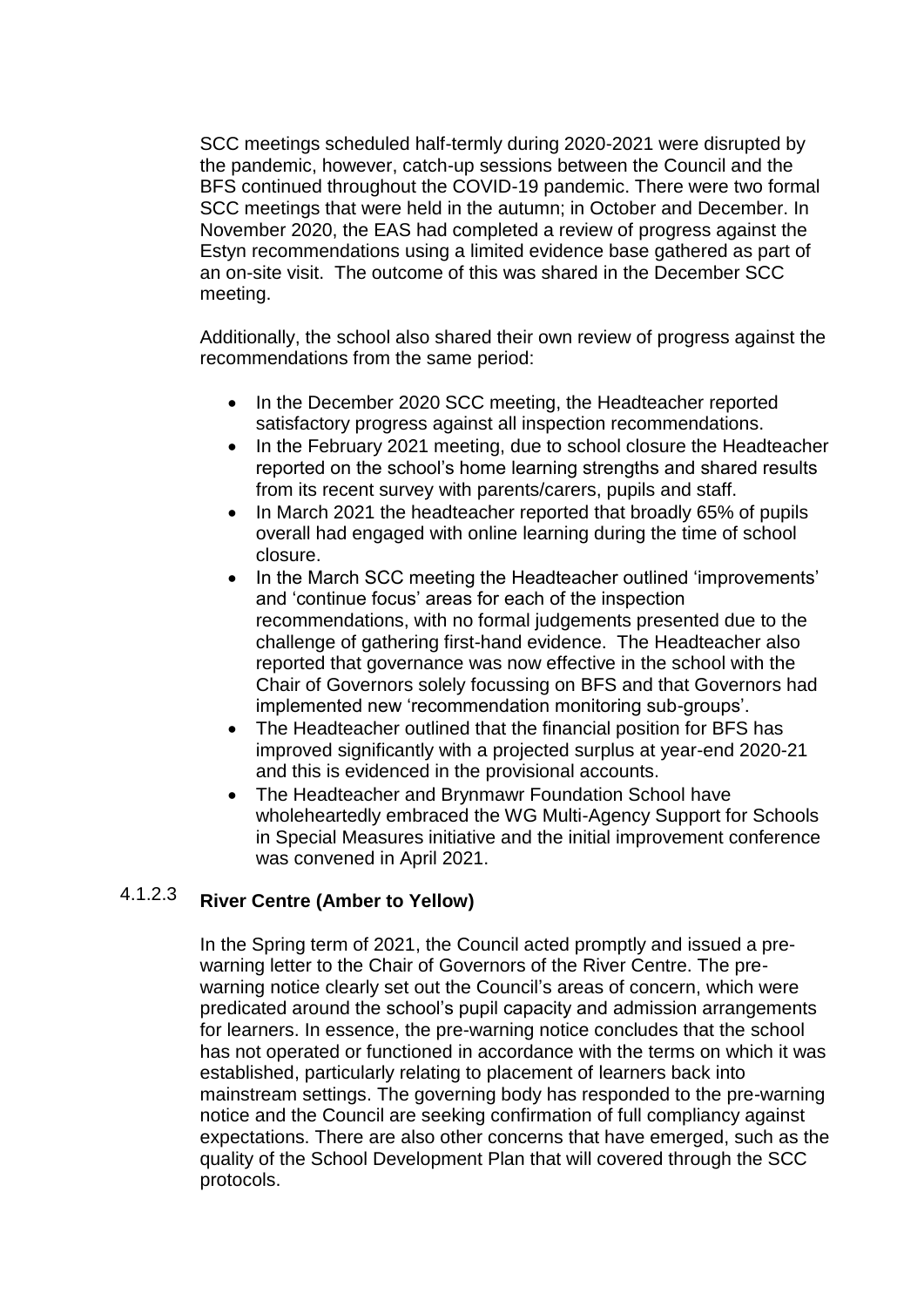SCC meetings scheduled half-termly during 2020-2021 were disrupted by the pandemic, however, catch-up sessions between the Council and the BFS continued throughout the COVID-19 pandemic. There were two formal SCC meetings that were held in the autumn; in October and December. In November 2020, the EAS had completed a review of progress against the Estyn recommendations using a limited evidence base gathered as part of an on-site visit. The outcome of this was shared in the December SCC meeting.

Additionally, the school also shared their own review of progress against the recommendations from the same period:

- In the December 2020 SCC meeting, the Headteacher reported satisfactory progress against all inspection recommendations.
- In the February 2021 meeting, due to school closure the Headteacher reported on the school's home learning strengths and shared results from its recent survey with parents/carers, pupils and staff.
- In March 2021 the headteacher reported that broadly 65% of pupils overall had engaged with online learning during the time of school closure.
- In the March SCC meeting the Headteacher outlined 'improvements' and 'continue focus' areas for each of the inspection recommendations, with no formal judgements presented due to the challenge of gathering first-hand evidence. The Headteacher also reported that governance was now effective in the school with the Chair of Governors solely focussing on BFS and that Governors had implemented new 'recommendation monitoring sub-groups'.
- The Headteacher outlined that the financial position for BFS has improved significantly with a projected surplus at year-end 2020-21 and this is evidenced in the provisional accounts.
- The Headteacher and Brynmawr Foundation School have wholeheartedly embraced the WG Multi-Agency Support for Schools in Special Measures initiative and the initial improvement conference was convened in April 2021.

### 4.1.2.3 **River Centre (Amber to Yellow)**

In the Spring term of 2021, the Council acted promptly and issued a prewarning letter to the Chair of Governors of the River Centre. The prewarning notice clearly set out the Council's areas of concern, which were predicated around the school's pupil capacity and admission arrangements for learners. In essence, the pre-warning notice concludes that the school has not operated or functioned in accordance with the terms on which it was established, particularly relating to placement of learners back into mainstream settings. The governing body has responded to the pre-warning notice and the Council are seeking confirmation of full compliancy against expectations. There are also other concerns that have emerged, such as the quality of the School Development Plan that will covered through the SCC protocols.